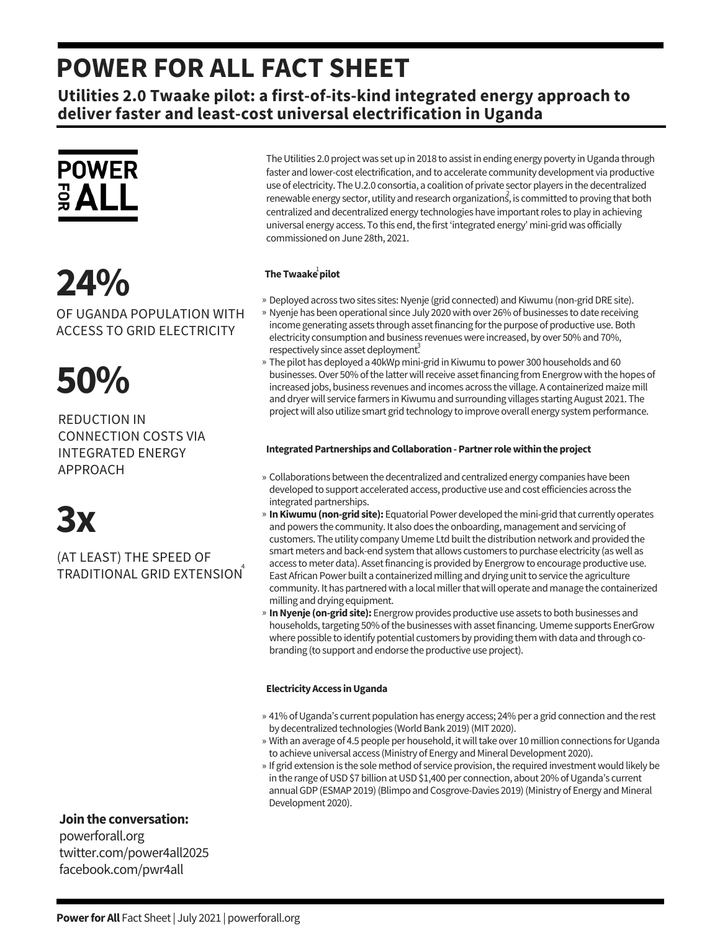## **POWER FOR ALL FACT SHEET**

**Utilities 2.0 Twaake pilot: a first-of-its-kind integrated energy approach to deliver faster and least-cost universal electrification in Uganda**



# **24%**

OF UGANDA POPULATION WITH ACCESS TO GRID ELECTRICITY

# **50%**

REDUCTION IN CONNECTION COSTS VIA INTEGRATED ENERGY APPROACH



(AT LEAST) THE SPEED OF TRADITIONAL GRID EXTENSION 4

**Jointhe conversation:**

powerforall.org twitter.com/power4all2025 facebook.com/pwr4all

The Utilities 2.0 project was set up in 2018 to assist in ending energy poverty in Uganda through faster and lower-cost electrification, and to accelerate community development via productive use of electricity. The U.2.0 consortia, a coalition of private sector players in the decentralized  $r$ enewable energy sector, utility and research organizations, is committed to proving that both centralized and decentralized energy technologies have important roles to play in achieving universal energy access. To this end, the first 'integrated energy' mini-grid was officially commissioned on June 28th, 2021.

### The  $\mathsf{Twaake}^{\mathsf{1}}$ pilot

- » Deployed across two sites sites: Nyenje (grid connected) and Kiwumu (non-grid DRE site).
- » Nyenje has been operational since July 2020 with over 26% of businesses to date receiving income generating assets through assetfinancing forthe purpose of productive use.Both electricity consumption and business revenueswereincreased, by over 50% and 70%, respectively since asset deployment.
- » The pilot has deployed a 40kWp mini-grid in Kiwumu to power 300 households and 60 businesses. Over 50% of the latter will receive asset financing from Energrow with the hopes of increased jobs, business revenues and incomes across thevillage. A containerized maize mill and dryer will service farmers in Kiwumu and surrounding villages starting August 2021. The project will also utilize smart grid technology to improve overall energy system performance.

### **Integrated Partnerships and Collaboration - Partner role within the project**

- Collaborations between the decentralized and centralized energy companies have been » developed to support accelerated access, productive use and costefficiencies across the integrated partnerships.
- » In Kiwumu (non-grid site): Equatorial Power developed the mini-grid that currently operates and powers the community. It also does the onboarding, management and servicing of customers. The utility company Umeme Ltd built the distribution network and provided the smart meters and back-end system that allows customers to purchase electricity (as well as access to meter data). Asset financing is provided by Energrow to encourage productive use. East African Power built a containerized milling and drying unit to service the agriculture community. It has partnered with a local miller that will operate and manage the containerized milling and drying equipment.
- » In Nyenje (on-grid site): Energrow provides productive use assets to both businesses and households, targeting 50% of the businesses with asset financing. Umeme supports EnerGrow where possible to identify potential customers by providing them with data and through cobranding (to support and endorse the productive use project).

### **ElectricityAccess inUganda**

- » 41% of Uganda's current population has energy access; 24% per a grid connection and the rest by decentralized technologies (World Bank 2019) (MIT 2020).
- » With an average of 4.5 people per household, it will take over 10 million connections for Uganda to achieve universal access (Ministry of Energy and Mineral Development 2020).
- » If grid extension is the sole method of service provision, the required investment would likely be in the range of USD \$7 billion at USD \$1,400 per connection, about 20% of Uganda's current annual GDP (ESMAP 2019) (Blimpo and Cosgrove-Davies 2019) (Ministry of Energy and Mineral Development 2020).